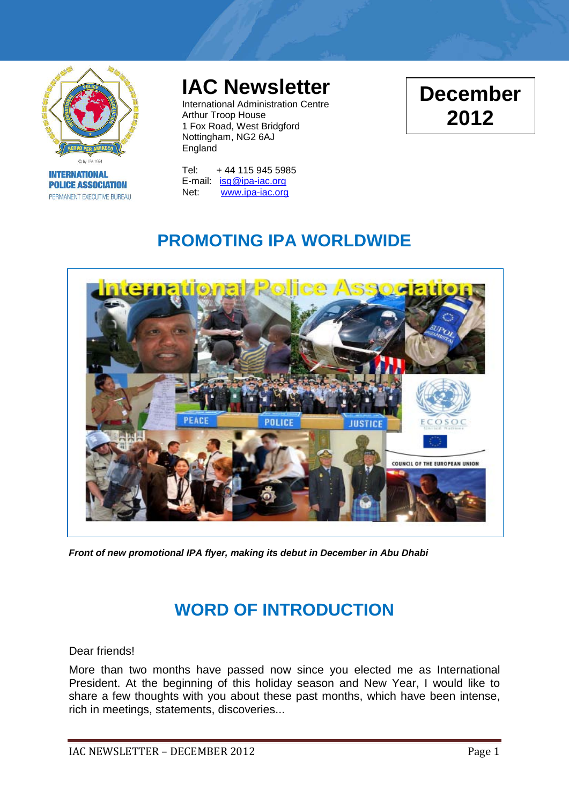

**INTERNATIONAL POLICE ASSOCIATION** PERMANENT EXECUTIVE BUREAU

# **IAC Newsletter**

International Administration Centre Arthur Troop House 1 Fox Road, West Bridgford Nottingham, NG2 6AJ England

Tel: + 44 115 945 5985 E-mail: [isg@ipa-iac.org](mailto:isg@ipa-iac.org) Net: [www.ipa-iac.org](http://www.ipa-iac.org/)

## **December 2012**

## **PROMOTING IPA WORLDWIDE**



*Front of new promotional IPA flyer, making its debut in December in Abu Dhabi*

## **WORD OF INTRODUCTION**

Dear friends!

More than two months have passed now since you elected me as International President. At the beginning of this holiday season and New Year, I would like to share a few thoughts with you about these past months, which have been intense, rich in meetings, statements, discoveries...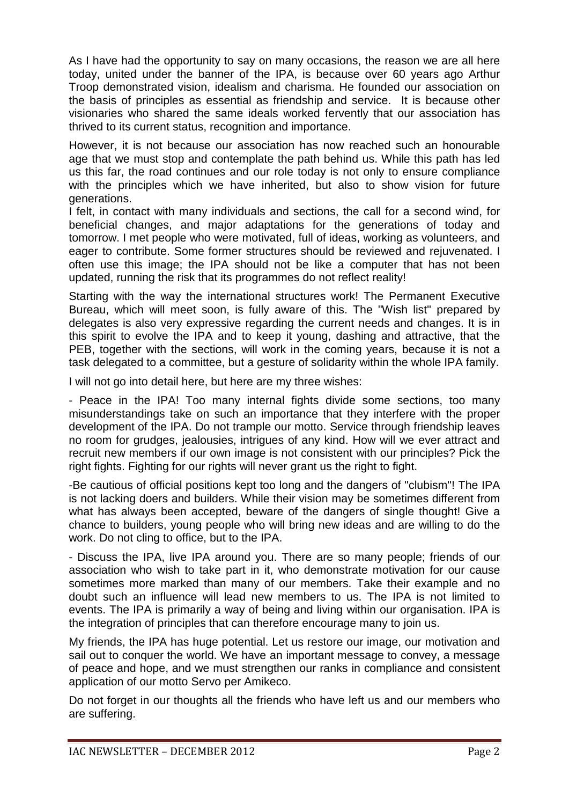As I have had the opportunity to say on many occasions, the reason we are all here today, united under the banner of the IPA, is because over 60 years ago Arthur Troop demonstrated vision, idealism and charisma. He founded our association on the basis of principles as essential as friendship and service. It is because other visionaries who shared the same ideals worked fervently that our association has thrived to its current status, recognition and importance.

However, it is not because our association has now reached such an honourable age that we must stop and contemplate the path behind us. While this path has led us this far, the road continues and our role today is not only to ensure compliance with the principles which we have inherited, but also to show vision for future generations.

I felt, in contact with many individuals and sections, the call for a second wind, for beneficial changes, and major adaptations for the generations of today and tomorrow. I met people who were motivated, full of ideas, working as volunteers, and eager to contribute. Some former structures should be reviewed and rejuvenated. I often use this image; the IPA should not be like a computer that has not been updated, running the risk that its programmes do not reflect reality!

Starting with the way the international structures work! The Permanent Executive Bureau, which will meet soon, is fully aware of this. The "Wish list" prepared by delegates is also very expressive regarding the current needs and changes. It is in this spirit to evolve the IPA and to keep it young, dashing and attractive, that the PEB, together with the sections, will work in the coming years, because it is not a task delegated to a committee, but a gesture of solidarity within the whole IPA family.

I will not go into detail here, but here are my three wishes:

- Peace in the IPA! Too many internal fights divide some sections, too many misunderstandings take on such an importance that they interfere with the proper development of the IPA. Do not trample our motto. Service through friendship leaves no room for grudges, jealousies, intrigues of any kind. How will we ever attract and recruit new members if our own image is not consistent with our principles? Pick the right fights. Fighting for our rights will never grant us the right to fight.

-Be cautious of official positions kept too long and the dangers of "clubism"! The IPA is not lacking doers and builders. While their vision may be sometimes different from what has always been accepted, beware of the dangers of single thought! Give a chance to builders, young people who will bring new ideas and are willing to do the work. Do not cling to office, but to the IPA.

- Discuss the IPA, live IPA around you. There are so many people; friends of our association who wish to take part in it, who demonstrate motivation for our cause sometimes more marked than many of our members. Take their example and no doubt such an influence will lead new members to us. The IPA is not limited to events. The IPA is primarily a way of being and living within our organisation. IPA is the integration of principles that can therefore encourage many to join us.

My friends, the IPA has huge potential. Let us restore our image, our motivation and sail out to conquer the world. We have an important message to convey, a message of peace and hope, and we must strengthen our ranks in compliance and consistent application of our motto Servo per Amikeco.

Do not forget in our thoughts all the friends who have left us and our members who are suffering.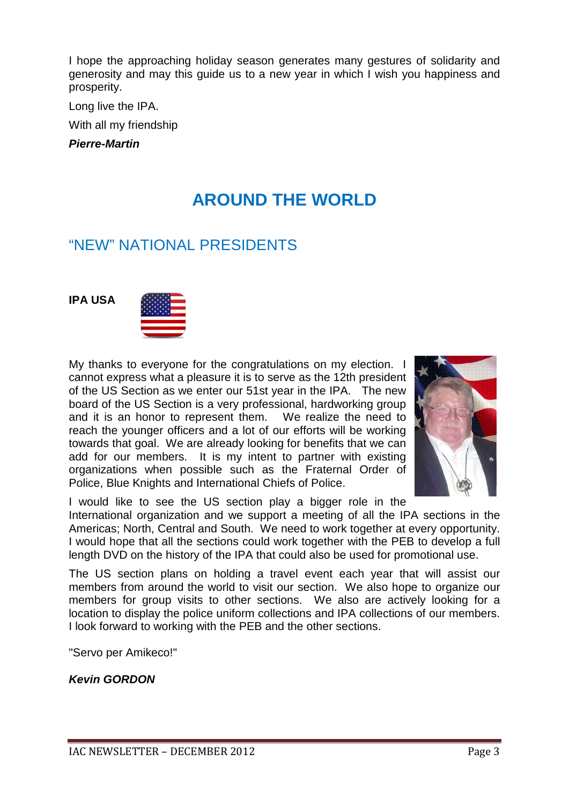I hope the approaching holiday season generates many gestures of solidarity and generosity and may this guide us to a new year in which I wish you happiness and prosperity.

Long live the IPA.

With all my friendship

*Pierre-Martin*

### **AROUND THE WORLD**

### "NEW" NATIONAL PRESIDENTS

**IPA USA**



My thanks to everyone for the congratulations on my election. I cannot express what a pleasure it is to serve as the 12th president of the US Section as we enter our 51st year in the IPA. The new board of the US Section is a very professional, hardworking group and it is an honor to represent them. We realize the need to reach the younger officers and a lot of our efforts will be working towards that goal. We are already looking for benefits that we can add for our members. It is my intent to partner with existing organizations when possible such as the Fraternal Order of Police, Blue Knights and International Chiefs of Police.



I would like to see the US section play a bigger role in the

International organization and we support a meeting of all the IPA sections in the Americas; North, Central and South. We need to work together at every opportunity. I would hope that all the sections could work together with the PEB to develop a full length DVD on the history of the IPA that could also be used for promotional use.

The US section plans on holding a travel event each year that will assist our members from around the world to visit our section. We also hope to organize our members for group visits to other sections. We also are actively looking for a location to display the police uniform collections and IPA collections of our members. I look forward to working with the PEB and the other sections.

"Servo per Amikeco!"

*Kevin GORDON*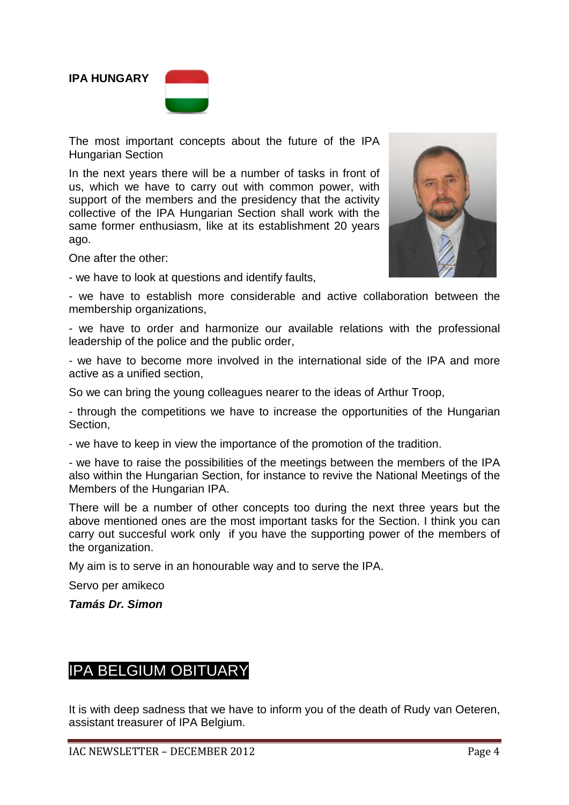**IPA HUNGARY**



The most important concepts about the future of the IPA Hungarian Section

In the next years there will be a number of tasks in front of us, which we have to carry out with common power, with support of the members and the presidency that the activity collective of the IPA Hungarian Section shall work with the same former enthusiasm, like at its establishment 20 years ago.

One after the other:

- we have to look at questions and identify faults,

- we have to establish more considerable and active collaboration between the membership organizations,

- we have to order and harmonize our available relations with the professional leadership of the police and the public order,

- we have to become more involved in the international side of the IPA and more active as a unified section,

So we can bring the young colleagues nearer to the ideas of Arthur Troop,

- through the competitions we have to increase the opportunities of the Hungarian Section,

- we have to keep in view the importance of the promotion of the tradition.

- we have to raise the possibilities of the meetings between the members of the IPA also within the Hungarian Section, for instance to revive the National Meetings of the Members of the Hungarian IPA.

There will be a number of other concepts too during the next three years but the above mentioned ones are the most important tasks for the Section. I think you can carry out succesful work only if you have the supporting power of the members of the organization.

My aim is to serve in an honourable way and to serve the IPA.

Servo per amikeco

*Tamás Dr. Simon*

### IPA BELGIUM OBITUARY

It is with deep sadness that we have to inform you of the death of Rudy van Oeteren, assistant treasurer of IPA Belgium.

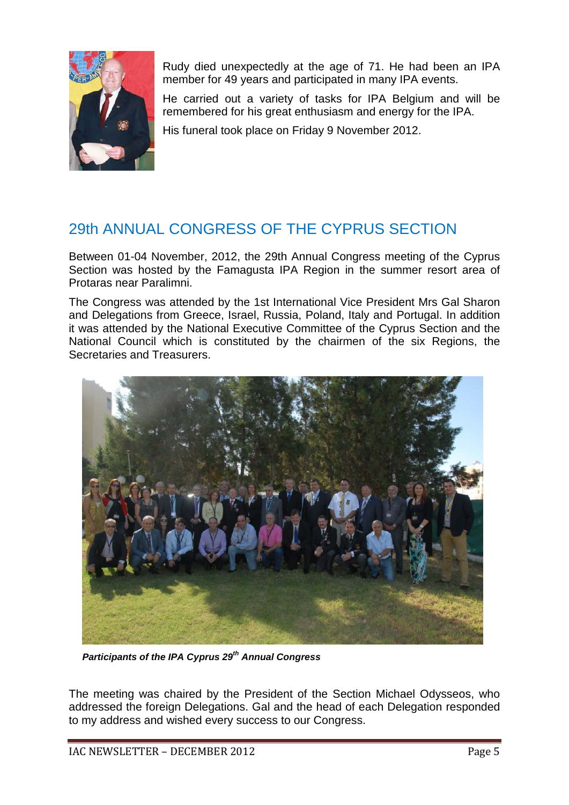

Rudy died unexpectedly at the age of 71. He had been an IPA member for 49 years and participated in many IPA events.

He carried out a variety of tasks for IPA Belgium and will be remembered for his great enthusiasm and energy for the IPA.

His funeral took place on Friday 9 November 2012.

### 29th ANNUAL CONGRESS OF THE CYPRUS SECTION

Between 01-04 November, 2012, the 29th Annual Congress meeting of the Cyprus Section was hosted by the Famagusta IPA Region in the summer resort area of Protaras near Paralimni.

The Congress was attended by the 1st International Vice President Mrs Gal Sharon and Delegations from Greece, Israel, Russia, Poland, Italy and Portugal. In addition it was attended by the National Executive Committee of the Cyprus Section and the National Council which is constituted by the chairmen of the six Regions, the Secretaries and Treasurers.



*Participants of the IPA Cyprus 29th Annual Congress*

The meeting was chaired by the President of the Section Michael Odysseos, who addressed the foreign Delegations. Gal and the head of each Delegation responded to my address and wished every success to our Congress.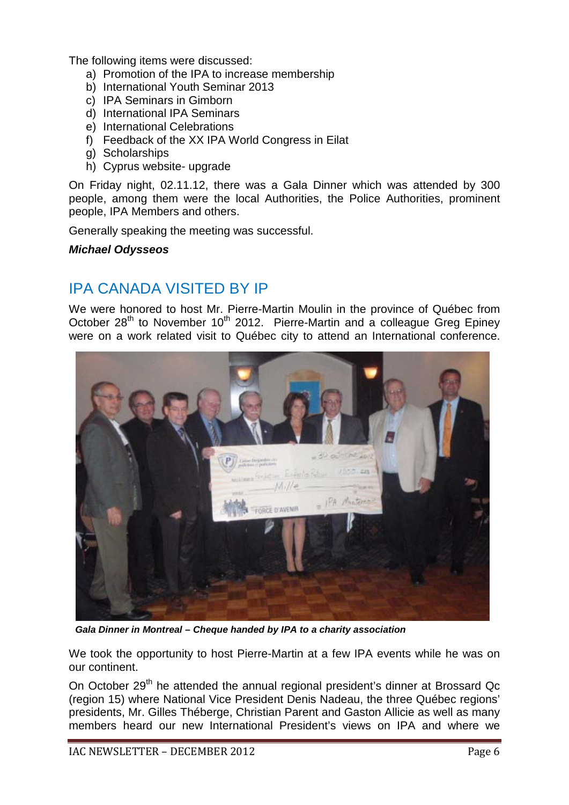The following items were discussed:

- a) Promotion of the IPA to increase membership
- b) International Youth Seminar 2013
- c) IPA Seminars in Gimborn
- d) International IPA Seminars
- e) International Celebrations
- f) Feedback of the XX IPA World Congress in Eilat
- g) Scholarships
- h) Cyprus website- upgrade

On Friday night, 02.11.12, there was a Gala Dinner which was attended by 300 people, among them were the local Authorities, the Police Authorities, prominent people, IPA Members and others.

Generally speaking the meeting was successful.

#### *Michael Odysseos*

### IPA CANADA VISITED BY IP

We were honored to host Mr. Pierre-Martin Moulin in the province of Québec from October  $28<sup>th</sup>$  to November 10<sup>th</sup> 2012. Pierre-Martin and a colleague Greg Epiney were on a work related visit to Québec city to attend an International conference.



*Gala Dinner in Montreal – Cheque handed by IPA to a charity association*

We took the opportunity to host Pierre-Martin at a few IPA events while he was on our continent.

On October 29<sup>th</sup> he attended the annual regional president's dinner at Brossard Qc (region 15) where National Vice President Denis Nadeau, the three Québec regions' presidents, Mr. Gilles Théberge, Christian Parent and Gaston Allicie as well as many members heard our new International President's views on IPA and where we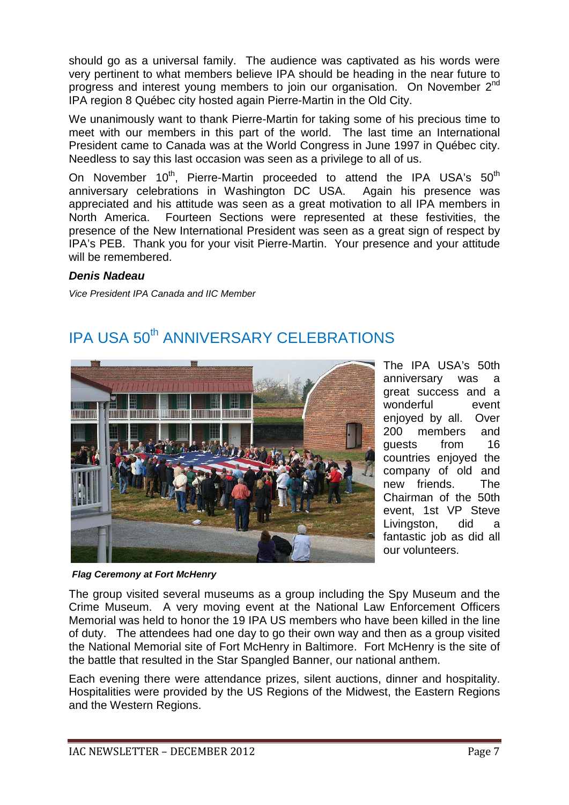should go as a universal family. The audience was captivated as his words were very pertinent to what members believe IPA should be heading in the near future to progress and interest young members to join our organisation. On November  $2^{nd}$ IPA region 8 Québec city hosted again Pierre-Martin in the Old City.

We unanimously want to thank Pierre-Martin for taking some of his precious time to meet with our members in this part of the world. The last time an International President came to Canada was at the World Congress in June 1997 in Québec city. Needless to say this last occasion was seen as a privilege to all of us.

On November 10<sup>th</sup>, Pierre-Martin proceeded to attend the IPA USA's 50<sup>th</sup> anniversary celebrations in Washington DC USA. Again his presence was appreciated and his attitude was seen as a great motivation to all IPA members in North America. Fourteen Sections were represented at these festivities, the presence of the New International President was seen as a great sign of respect by IPA's PEB. Thank you for your visit Pierre-Martin. Your presence and your attitude will be remembered.

#### *Denis Nadeau*

*Vice President IPA Canada and IIC Member*



### IPA USA 50<sup>th</sup> ANNIVERSARY CELEBRATIONS

The IPA USA's 50th anniversary was a great success and a wonderful event enjoyed by all. Over 200 members and guests from 16 countries enjoyed the company of old and new friends. The Chairman of the 50th event, 1st VP Steve Livingston, did a fantastic job as did all our volunteers.

*Flag Ceremony at Fort McHenry*

The group visited several museums as a group including the Spy Museum and the Crime Museum. A very moving event at the National Law Enforcement Officers Memorial was held to honor the 19 IPA US members who have been killed in the line of duty. The attendees had one day to go their own way and then as a group visited the National Memorial site of Fort McHenry in Baltimore. Fort McHenry is the site of the battle that resulted in the Star Spangled Banner, our national anthem.

Each evening there were attendance prizes, silent auctions, dinner and hospitality. Hospitalities were provided by the US Regions of the Midwest, the Eastern Regions and the Western Regions.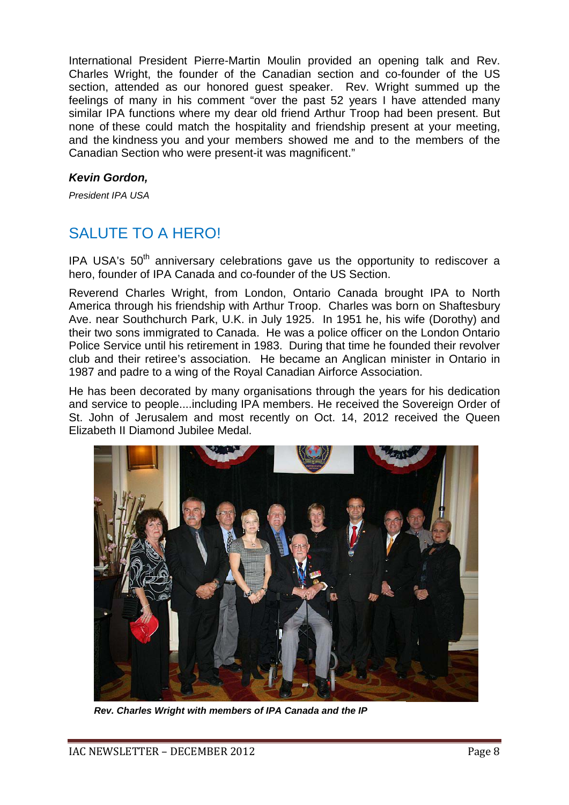International President Pierre-Martin Moulin provided an opening talk and Rev. Charles Wright, the founder of the Canadian section and co-founder of the US section, attended as our honored guest speaker. Rev. Wright summed up the feelings of many in his comment "over the past 52 years I have attended many similar IPA functions where my dear old friend Arthur Troop had been present. But none of these could match the hospitality and friendship present at your meeting, and the kindness you and your members showed me and to the members of the Canadian Section who were present-it was magnificent."

#### *Kevin Gordon,*

*President IPA USA*

### SALUTE TO A HERO!

IPA USA's  $50<sup>th</sup>$  anniversary celebrations gave us the opportunity to rediscover a hero, founder of IPA Canada and co-founder of the US Section.

Reverend Charles Wright, from London, Ontario Canada brought IPA to North America through his friendship with Arthur Troop. Charles was born on Shaftesbury Ave. near Southchurch Park, U.K. in July 1925. In 1951 he, his wife (Dorothy) and their two sons immigrated to Canada. He was a police officer on the London Ontario Police Service until his retirement in 1983. During that time he founded their revolver club and their retiree's association. He became an Anglican minister in Ontario in 1987 and padre to a wing of the Royal Canadian Airforce Association.

He has been decorated by many organisations through the years for his dedication and service to people....including IPA members. He received the Sovereign Order of St. John of Jerusalem and most recently on Oct. 14, 2012 received the Queen Elizabeth II Diamond Jubilee Medal.



*Rev. Charles Wright with members of IPA Canada and the IP*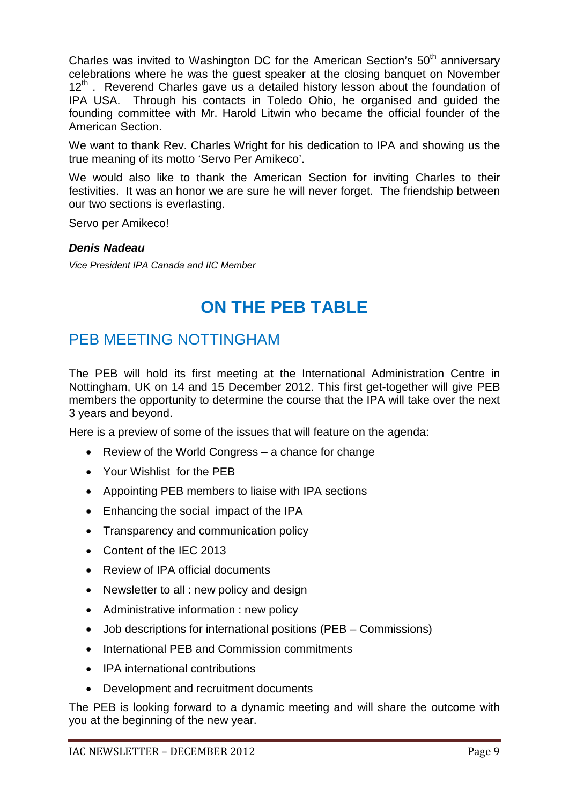Charles was invited to Washington DC for the American Section's  $50<sup>th</sup>$  anniversary celebrations where he was the guest speaker at the closing banquet on November  $12<sup>th</sup>$ . Reverend Charles gave us a detailed history lesson about the foundation of IPA USA. Through his contacts in Toledo Ohio, he organised and guided the founding committee with Mr. Harold Litwin who became the official founder of the American Section.

We want to thank Rev. Charles Wright for his dedication to IPA and showing us the true meaning of its motto 'Servo Per Amikeco'.

We would also like to thank the American Section for inviting Charles to their festivities. It was an honor we are sure he will never forget. The friendship between our two sections is everlasting.

Servo per Amikeco!

#### *Denis Nadeau*

*Vice President IPA Canada and IIC Member*

## **ON THE PEB TABLE**

### PEB MEETING NOTTINGHAM

The PEB will hold its first meeting at the International Administration Centre in Nottingham, UK on 14 and 15 December 2012. This first get-together will give PEB members the opportunity to determine the course that the IPA will take over the next 3 years and beyond.

Here is a preview of some of the issues that will feature on the agenda:

- Review of the World Congress a chance for change
- Your Wishlist for the PEB
- Appointing PEB members to liaise with IPA sections
- Enhancing the social impact of the IPA
- Transparency and communication policy
- Content of the IFC 2013
- Review of IPA official documents
- Newsletter to all : new policy and design
- Administrative information : new policy
- Job descriptions for international positions (PEB Commissions)
- International PEB and Commission commitments
- IPA international contributions
- Development and recruitment documents

The PEB is looking forward to a dynamic meeting and will share the outcome with you at the beginning of the new year.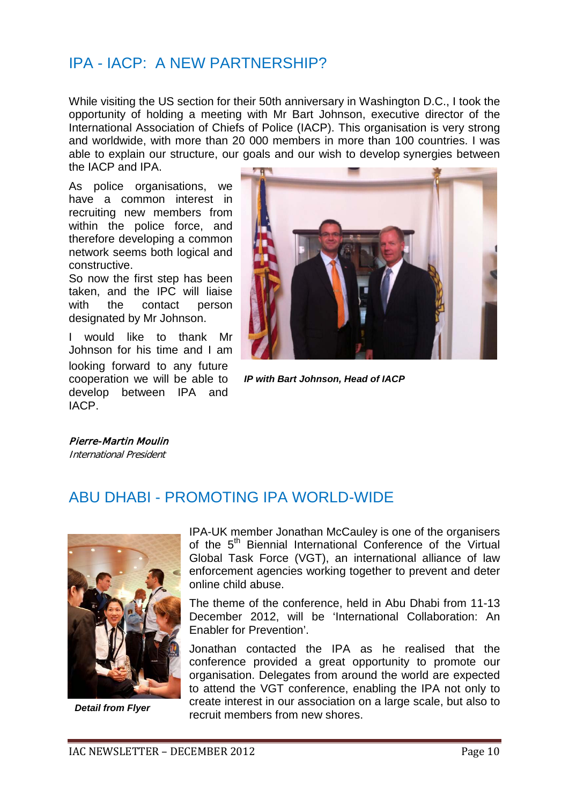### IPA - IACP: A NEW PARTNERSHIP?

While visiting the US section for their 50th anniversary in Washington D.C., I took the opportunity of holding a meeting with Mr Bart Johnson, executive director of the International Association of Chiefs of Police (IACP). This organisation is very strong and worldwide, with more than 20 000 members in more than 100 countries. I was able to explain our structure, our goals and our wish to develop synergies between the IACP and IPA.

As police organisations, we have a common interest in recruiting new members from

within the police force, and therefore developing a common network seems both logical and constructive.

So now the first step has been taken, and the IPC will liaise with the contact person designated by Mr Johnson.

I would like to thank Mr Johnson for his time and I am looking forward to any future cooperation we will be able to develop between IPA and IACP.



*IP with Bart Johnson, Head of IACP*

Pierre-Martin Moulin International President

### ABU DHABI - PROMOTING IPA WORLD-WIDE



*Detail from Flyer*

IPA-UK member Jonathan McCauley is one of the organisers of the 5<sup>th</sup> Biennial International Conference of the Virtual Global Task Force (VGT), an international alliance of law enforcement agencies working together to prevent and deter online child abuse.

The theme of the conference, held in Abu Dhabi from 11-13 December 2012, will be 'International Collaboration: An Enabler for Prevention'.

Jonathan contacted the IPA as he realised that the conference provided a great opportunity to promote our organisation. Delegates from around the world are expected to attend the VGT conference, enabling the IPA not only to create interest in our association on a large scale, but also to recruit members from new shores.